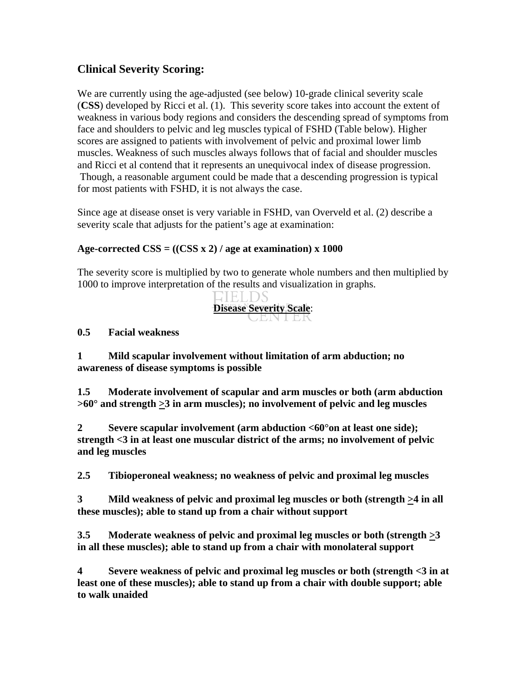## **Clinical Severity Scoring:**

We are currently using the age-adjusted (see below) 10-grade clinical severity scale (**CSS**) developed by Ricci et al. (1). This severity score takes into account the extent of weakness in various body regions and considers the descending spread of symptoms from face and shoulders to pelvic and leg muscles typical of FSHD (Table below). Higher scores are assigned to patients with involvement of pelvic and proximal lower limb muscles. Weakness of such muscles always follows that of facial and shoulder muscles and Ricci et al contend that it represents an unequivocal index of disease progression. Though, a reasonable argument could be made that a descending progression is typical for most patients with FSHD, it is not always the case.

Since age at disease onset is very variable in FSHD, van Overveld et al. (2) describe a severity scale that adjusts for the patient's age at examination:

## **Age-corrected CSS = ((CSS x 2) / age at examination) x 1000**

The severity score is multiplied by two to generate whole numbers and then multiplied by 1000 to improve interpretation of the results and visualization in graphs.



## **0.5 Facial weakness**

**1 Mild scapular involvement without limitation of arm abduction; no awareness of disease symptoms is possible**

**1.5 Moderate involvement of scapular and arm muscles or both (arm abduction >60° and strength >3 in arm muscles); no involvement of pelvic and leg muscles**

**2 Severe scapular involvement (arm abduction <60°on at least one side); strength <3 in at least one muscular district of the arms; no involvement of pelvic and leg muscles**

**2.5 Tibioperoneal weakness; no weakness of pelvic and proximal leg muscles**

**3 Mild weakness of pelvic and proximal leg muscles or both (strength >4 in all these muscles); able to stand up from a chair without support**

**3.5 Moderate weakness of pelvic and proximal leg muscles or both (strength >3 in all these muscles); able to stand up from a chair with monolateral support**

**4 Severe weakness of pelvic and proximal leg muscles or both (strength <3 in at least one of these muscles); able to stand up from a chair with double support; able to walk unaided**